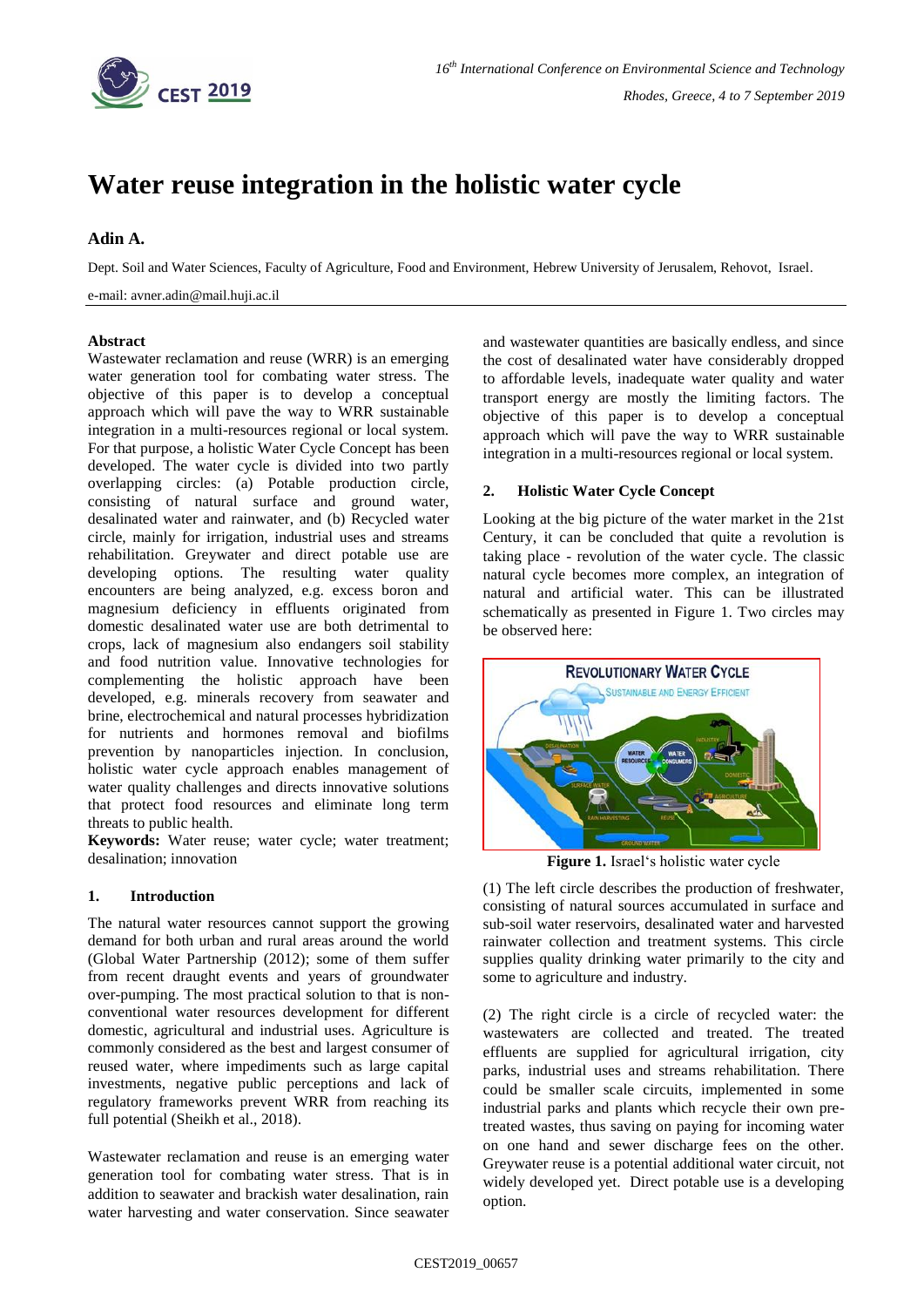

# **Water reuse integration in the holistic water cycle**

# **Adin A.**

Dept. Soil and Water Sciences, Faculty of Agriculture, Food and Environment, Hebrew University of Jerusalem, Rehovot, Israel.

e-mail: avner.adin@mail.huji.ac.il

### **Abstract**

Wastewater reclamation and reuse (WRR) is an emerging water generation tool for combating water stress. The objective of this paper is to develop a conceptual approach which will pave the way to WRR sustainable integration in a multi-resources regional or local system. For that purpose, a holistic Water Cycle Concept has been developed. The water cycle is divided into two partly overlapping circles: (a) Potable production circle, consisting of natural surface and ground water, desalinated water and rainwater, and (b) Recycled water circle, mainly for irrigation, industrial uses and streams rehabilitation. Greywater and direct potable use are developing options. The resulting water quality encounters are being analyzed, e.g. excess boron and magnesium deficiency in effluents originated from domestic desalinated water use are both detrimental to crops, lack of magnesium also endangers soil stability and food nutrition value. Innovative technologies for complementing the holistic approach have been developed, e.g. minerals recovery from seawater and brine, electrochemical and natural processes hybridization for nutrients and hormones removal and biofilms prevention by nanoparticles injection. In conclusion, holistic water cycle approach enables management of water quality challenges and directs innovative solutions that protect food resources and eliminate long term threats to public health.

**Keywords:** Water reuse; water cycle; water treatment; desalination; innovation

### **1. Introduction**

The natural water resources cannot support the growing demand for both urban and rural areas around the world (Global Water Partnership (2012); some of them suffer from recent draught events and years of groundwater over-pumping. The most practical solution to that is nonconventional water resources development for different domestic, agricultural and industrial uses. Agriculture is commonly considered as the best and largest consumer of reused water, where impediments such as large capital investments, negative public perceptions and lack of regulatory frameworks prevent WRR from reaching its full potential (Sheikh et al., 2018).

Wastewater reclamation and reuse is an emerging water generation tool for combating water stress. That is in addition to seawater and brackish water desalination, rain water harvesting and water conservation. Since seawater and wastewater quantities are basically endless, and since the cost of desalinated water have considerably dropped to affordable levels, inadequate water quality and water transport energy are mostly the limiting factors. The objective of this paper is to develop a conceptual approach which will pave the way to WRR sustainable integration in a multi-resources regional or local system.

## **2. Holistic Water Cycle Concept**

Looking at the big picture of the water market in the 21st Century, it can be concluded that quite a revolution is taking place - revolution of the water cycle. The classic natural cycle becomes more complex, an integration of natural and artificial water. This can be illustrated schematically as presented in Figure 1. Two circles may be observed here:



**Figure 1.** Israel's holistic water cycle

(1) The left circle describes the production of freshwater, consisting of natural sources accumulated in surface and sub-soil water reservoirs, desalinated water and harvested rainwater collection and treatment systems. This circle supplies quality drinking water primarily to the city and some to agriculture and industry.

(2) The right circle is a circle of recycled water: the wastewaters are collected and treated. The treated effluents are supplied for agricultural irrigation, city parks, industrial uses and streams rehabilitation. There could be smaller scale circuits, implemented in some industrial parks and plants which recycle their own pretreated wastes, thus saving on paying for incoming water on one hand and sewer discharge fees on the other. Greywater reuse is a potential additional water circuit, not widely developed yet. Direct potable use is a developing option.